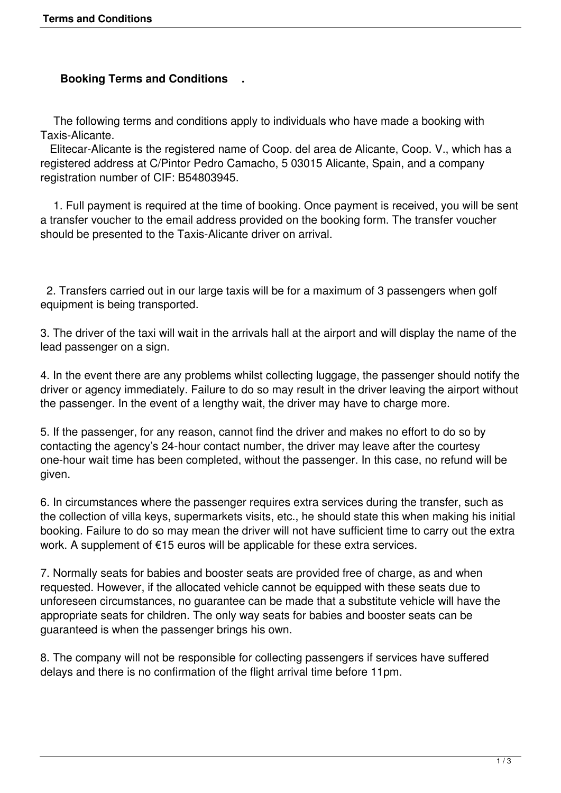# **Booking Terms and Conditions .**

 The following terms and conditions apply to individuals who have made a booking with Taxis-Alicante.

 Elitecar-Alicante is the registered name of Coop. del area de Alicante, Coop. V., which has a registered address at C/Pintor Pedro Camacho, 5 03015 Alicante, Spain, and a company registration number of CIF: B54803945.

 1. Full payment is required at the time of booking. Once payment is received, you will be sent a transfer voucher to the email address provided on the booking form. The transfer voucher should be presented to the Taxis-Alicante driver on arrival.

 2. Transfers carried out in our large taxis will be for a maximum of 3 passengers when golf equipment is being transported.

3. The driver of the taxi will wait in the arrivals hall at the airport and will display the name of the lead passenger on a sign.

4. In the event there are any problems whilst collecting luggage, the passenger should notify the driver or agency immediately. Failure to do so may result in the driver leaving the airport without the passenger. In the event of a lengthy wait, the driver may have to charge more.

5. If the passenger, for any reason, cannot find the driver and makes no effort to do so by contacting the agency's 24-hour contact number, the driver may leave after the courtesy one-hour wait time has been completed, without the passenger. In this case, no refund will be given.

6. In circumstances where the passenger requires extra services during the transfer, such as the collection of villa keys, supermarkets visits, etc., he should state this when making his initial booking. Failure to do so may mean the driver will not have sufficient time to carry out the extra work. A supplement of €15 euros will be applicable for these extra services.

7. Normally seats for babies and booster seats are provided free of charge, as and when requested. However, if the allocated vehicle cannot be equipped with these seats due to unforeseen circumstances, no guarantee can be made that a substitute vehicle will have the appropriate seats for children. The only way seats for babies and booster seats can be guaranteed is when the passenger brings his own.

8. The company will not be responsible for collecting passengers if services have suffered delays and there is no confirmation of the flight arrival time before 11pm.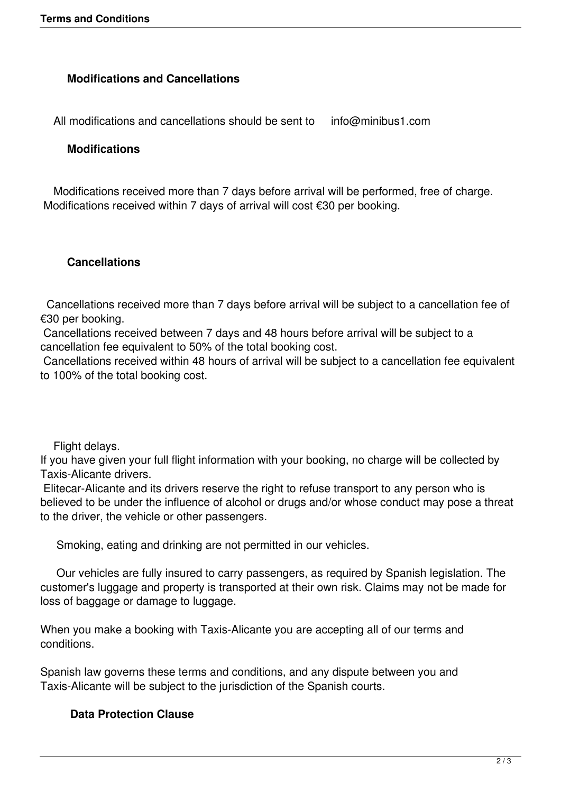## **Modifications and Cancellations**

All modifications and cancellations should be sent to info@minibus1.com

#### **Modifications**

 Modifications received more than 7 days before arrival will be performed, free of charge. Modifications received within 7 days of arrival will cost €30 per booking.

#### **Cancellations**

 Cancellations received more than 7 days before arrival will be subject to a cancellation fee of €30 per booking.

 Cancellations received between 7 days and 48 hours before arrival will be subject to a cancellation fee equivalent to 50% of the total booking cost.

 Cancellations received within 48 hours of arrival will be subject to a cancellation fee equivalent to 100% of the total booking cost.

Flight delays.

If you have given your full flight information with your booking, no charge will be collected by Taxis-Alicante drivers.

 Elitecar-Alicante and its drivers reserve the right to refuse transport to any person who is believed to be under the influence of alcohol or drugs and/or whose conduct may pose a threat to the driver, the vehicle or other passengers.

Smoking, eating and drinking are not permitted in our vehicles.

 Our vehicles are fully insured to carry passengers, as required by Spanish legislation. The customer's luggage and property is transported at their own risk. Claims may not be made for loss of baggage or damage to luggage.

When you make a booking with Taxis-Alicante you are accepting all of our terms and conditions.

Spanish law governs these terms and conditions, and any dispute between you and Taxis-Alicante will be subject to the jurisdiction of the Spanish courts.

### **Data Protection Clause**